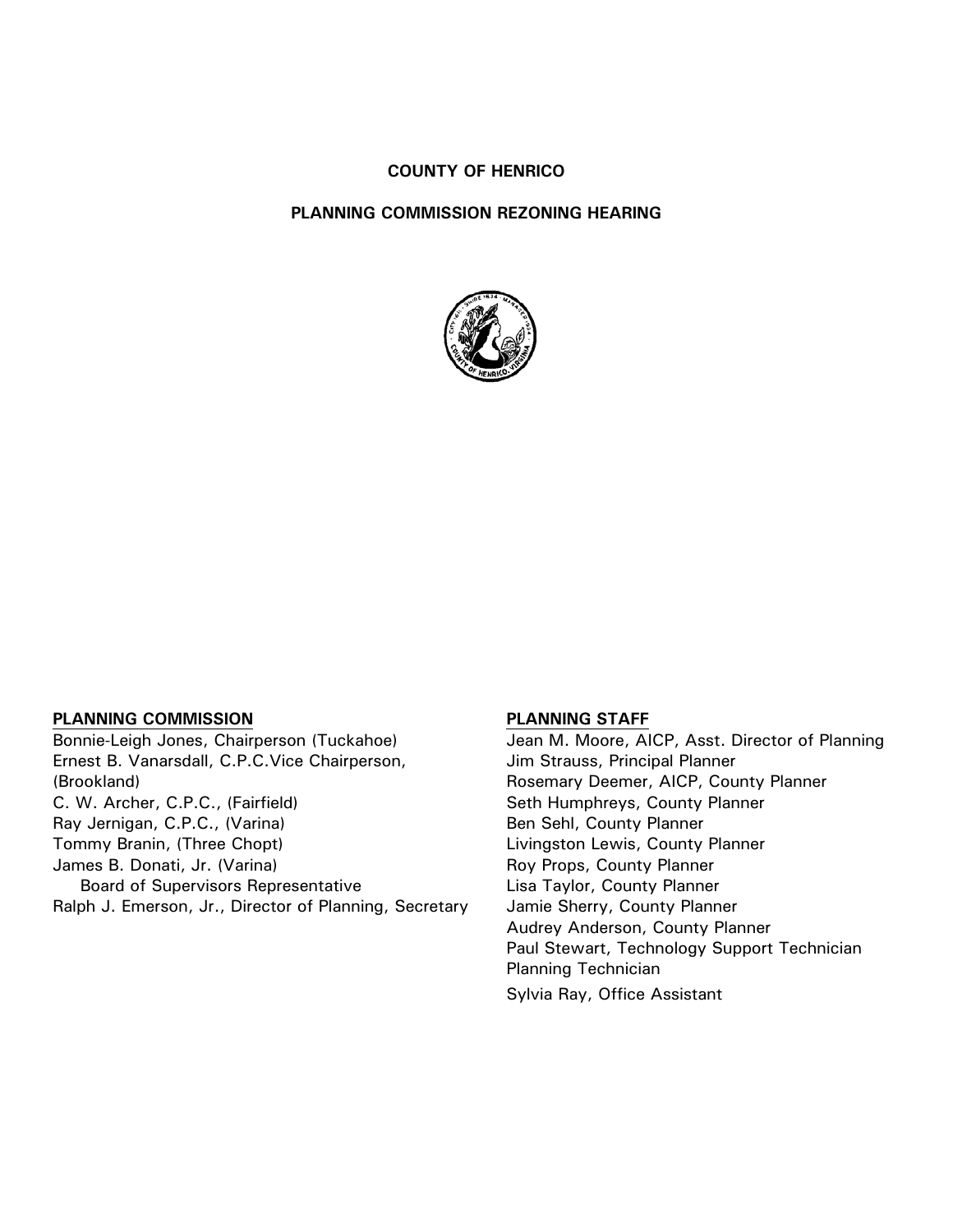#### **COUNTY OF HENRICO**

#### **PLANNING COMMISSION REZONING HEARING**



#### **PLANNING COMMISSION**

Bonnie-Leigh Jones, Chairperson (Tuckahoe) Ernest B. Vanarsdall, C.P.C.Vice Chairperson, (Brookland) C. W. Archer, C.P.C., (Fairfield) Ray Jernigan, C.P.C., (Varina) Tommy Branin, (Three Chopt) James B. Donati, Jr. (Varina) Board of Supervisors Representative Ralph J. Emerson, Jr., Director of Planning, Secretary

#### **PLANNING STAFF**

Jean M. Moore, AICP, Asst. Director of Planning Jim Strauss, Principal Planner Rosemary Deemer, AICP, County Planner Seth Humphreys, County Planner Ben Sehl, County Planner Livingston Lewis, County Planner Roy Props, County Planner Lisa Taylor, County Planner Jamie Sherry, County Planner Audrey Anderson, County Planner Paul Stewart, Technology Support Technician Planning Technician Sylvia Ray, Office Assistant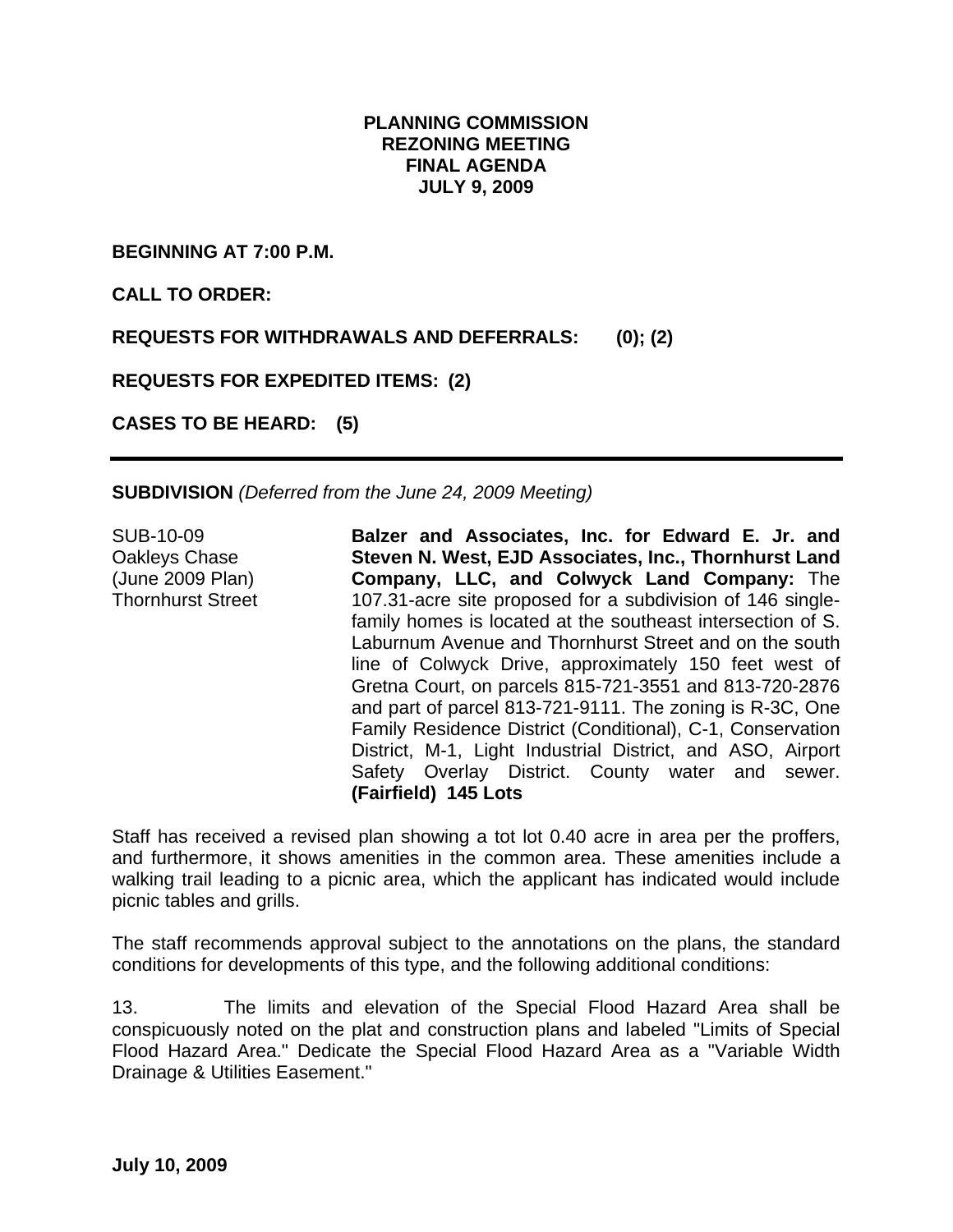# **PLANNING COMMISSION REZONING MEETING FINAL AGENDA JULY 9, 2009**

**BEGINNING AT 7:00 P.M.** 

**CALL TO ORDER:** 

**REQUESTS FOR WITHDRAWALS AND DEFERRALS: (0); (2)** 

**REQUESTS FOR EXPEDITED ITEMS: (2)** 

**CASES TO BE HEARD: (5)** 

**SUBDIVISION** *(Deferred from the June 24, 2009 Meeting)* 

SUB-10-09 Oakleys Chase (June 2009 Plan) Thornhurst Street **Balzer and Associates, Inc. for Edward E. Jr. and Steven N. West, EJD Associates, Inc., Thornhurst Land Company, LLC, and Colwyck Land Company:** The 107.31-acre site proposed for a subdivision of 146 singlefamily homes is located at the southeast intersection of S. Laburnum Avenue and Thornhurst Street and on the south line of Colwyck Drive, approximately 150 feet west of Gretna Court, on parcels 815-721-3551 and 813-720-2876 and part of parcel 813-721-9111. The zoning is R-3C, One Family Residence District (Conditional), C-1, Conservation District, M-1, Light Industrial District, and ASO, Airport Safety Overlay District. County water and sewer. **(Fairfield) 145 Lots**

Staff has received a revised plan showing a tot lot 0.40 acre in area per the proffers, and furthermore, it shows amenities in the common area. These amenities include a walking trail leading to a picnic area, which the applicant has indicated would include picnic tables and grills.

The staff recommends approval subject to the annotations on the plans, the standard conditions for developments of this type, and the following additional conditions:

13. The limits and elevation of the Special Flood Hazard Area shall be conspicuously noted on the plat and construction plans and labeled "Limits of Special Flood Hazard Area." Dedicate the Special Flood Hazard Area as a "Variable Width Drainage & Utilities Easement."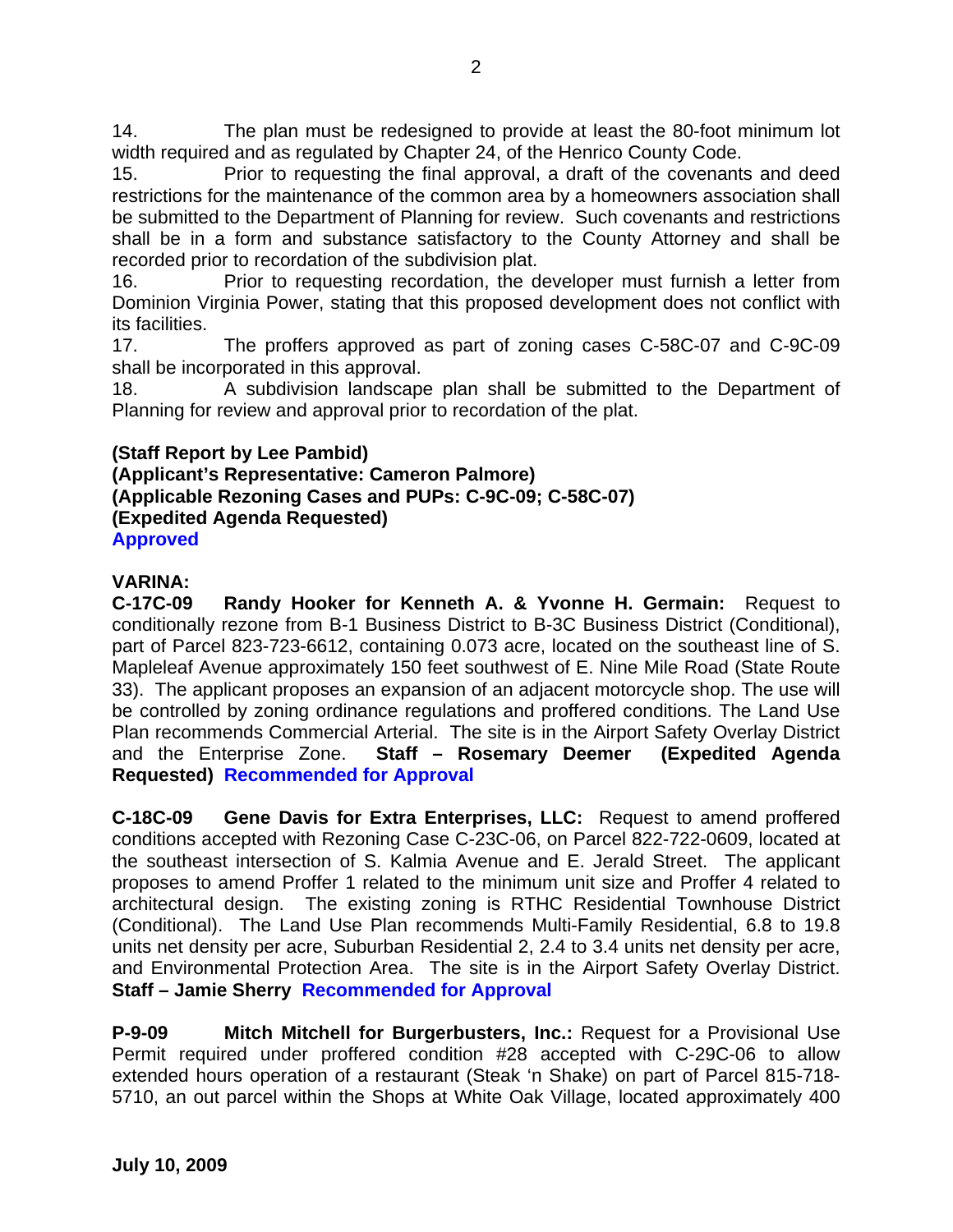14. The plan must be redesigned to provide at least the 80-foot minimum lot width required and as regulated by Chapter 24, of the Henrico County Code.

15. Prior to requesting the final approval, a draft of the covenants and deed restrictions for the maintenance of the common area by a homeowners association shall be submitted to the Department of Planning for review. Such covenants and restrictions shall be in a form and substance satisfactory to the County Attorney and shall be recorded prior to recordation of the subdivision plat.

16. Prior to requesting recordation, the developer must furnish a letter from Dominion Virginia Power, stating that this proposed development does not conflict with its facilities.

17. The proffers approved as part of zoning cases C-58C-07 and C-9C-09 shall be incorporated in this approval.

18. A subdivision landscape plan shall be submitted to the Department of Planning for review and approval prior to recordation of the plat.

# **(Staff Report by Lee Pambid)**

**(Applicant's Representative: Cameron Palmore) (Applicable Rezoning Cases and PUPs: C-9C-09; C-58C-07) (Expedited Agenda Requested) Approved** 

# **VARINA:**

**C-17C-09 Randy Hooker for Kenneth A. & Yvonne H. Germain:** Request to conditionally rezone from B-1 Business District to B-3C Business District (Conditional), part of Parcel 823-723-6612, containing 0.073 acre, located on the southeast line of S. Mapleleaf Avenue approximately 150 feet southwest of E. Nine Mile Road (State Route 33). The applicant proposes an expansion of an adjacent motorcycle shop. The use will be controlled by zoning ordinance regulations and proffered conditions. The Land Use Plan recommends Commercial Arterial. The site is in the Airport Safety Overlay District and the Enterprise Zone. **Staff – Rosemary Deemer (Expedited Agenda Requested) Recommended for Approval** 

**C-18C-09 Gene Davis for Extra Enterprises, LLC:** Request to amend proffered conditions accepted with Rezoning Case C-23C-06, on Parcel 822-722-0609, located at the southeast intersection of S. Kalmia Avenue and E. Jerald Street. The applicant proposes to amend Proffer 1 related to the minimum unit size and Proffer 4 related to architectural design. The existing zoning is RTHC Residential Townhouse District (Conditional). The Land Use Plan recommends Multi-Family Residential, 6.8 to 19.8 units net density per acre, Suburban Residential 2, 2.4 to 3.4 units net density per acre, and Environmental Protection Area. The site is in the Airport Safety Overlay District. **Staff – Jamie Sherry Recommended for Approval**

**P-9-09 Mitch Mitchell for Burgerbusters, Inc.:** Request for a Provisional Use Permit required under proffered condition #28 accepted with C-29C-06 to allow extended hours operation of a restaurant (Steak 'n Shake) on part of Parcel 815-718- 5710, an out parcel within the Shops at White Oak Village, located approximately 400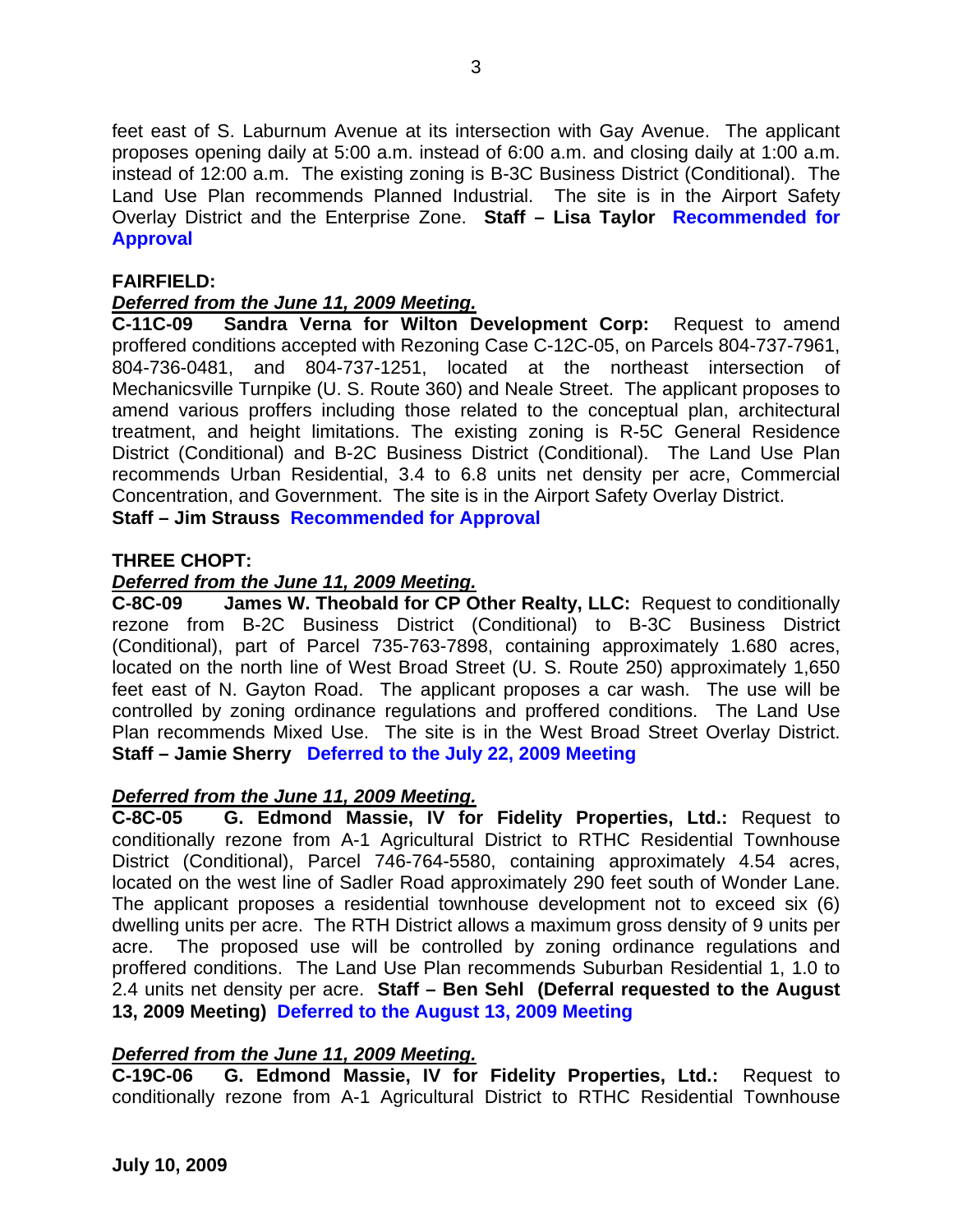feet east of S. Laburnum Avenue at its intersection with Gay Avenue. The applicant proposes opening daily at 5:00 a.m. instead of 6:00 a.m. and closing daily at 1:00 a.m. instead of 12:00 a.m. The existing zoning is B-3C Business District (Conditional). The Land Use Plan recommends Planned Industrial. The site is in the Airport Safety Overlay District and the Enterprise Zone. **Staff – Lisa Taylor Recommended for Approval** 

# **FAIRFIELD:**

# *Deferred from the June 11, 2009 Meeting.*

**C-11C-09 Sandra Verna for Wilton Development Corp:** Request to amend proffered conditions accepted with Rezoning Case C-12C-05, on Parcels 804-737-7961, 804-736-0481, and 804-737-1251, located at the northeast intersection of Mechanicsville Turnpike (U. S. Route 360) and Neale Street. The applicant proposes to amend various proffers including those related to the conceptual plan, architectural treatment, and height limitations. The existing zoning is R-5C General Residence District (Conditional) and B-2C Business District (Conditional). The Land Use Plan recommends Urban Residential, 3.4 to 6.8 units net density per acre, Commercial Concentration, and Government. The site is in the Airport Safety Overlay District. **Staff – Jim Strauss Recommended for Approval** 

## **THREE CHOPT:**

#### *Deferred from the June 11, 2009 Meeting.*

**C-8C-09 James W. Theobald for CP Other Realty, LLC:** Request to conditionally rezone from B-2C Business District (Conditional) to B-3C Business District (Conditional), part of Parcel 735-763-7898, containing approximately 1.680 acres, located on the north line of West Broad Street (U. S. Route 250) approximately 1,650 feet east of N. Gayton Road. The applicant proposes a car wash. The use will be controlled by zoning ordinance regulations and proffered conditions. The Land Use Plan recommends Mixed Use. The site is in the West Broad Street Overlay District. **Staff – Jamie Sherry Deferred to the July 22, 2009 Meeting**

## *Deferred from the June 11, 2009 Meeting.*

**C-8C-05 G. Edmond Massie, IV for Fidelity Properties, Ltd.:** Request to conditionally rezone from A-1 Agricultural District to RTHC Residential Townhouse District (Conditional), Parcel 746-764-5580, containing approximately 4.54 acres, located on the west line of Sadler Road approximately 290 feet south of Wonder Lane. The applicant proposes a residential townhouse development not to exceed six (6) dwelling units per acre. The RTH District allows a maximum gross density of 9 units per acre. The proposed use will be controlled by zoning ordinance regulations and proffered conditions. The Land Use Plan recommends Suburban Residential 1, 1.0 to 2.4 units net density per acre. **Staff – Ben Sehl (Deferral requested to the August 13, 2009 Meeting) Deferred to the August 13, 2009 Meeting** 

## *Deferred from the June 11, 2009 Meeting.*

**C-19C-06 G. Edmond Massie, IV for Fidelity Properties, Ltd.:** Request to conditionally rezone from A-1 Agricultural District to RTHC Residential Townhouse